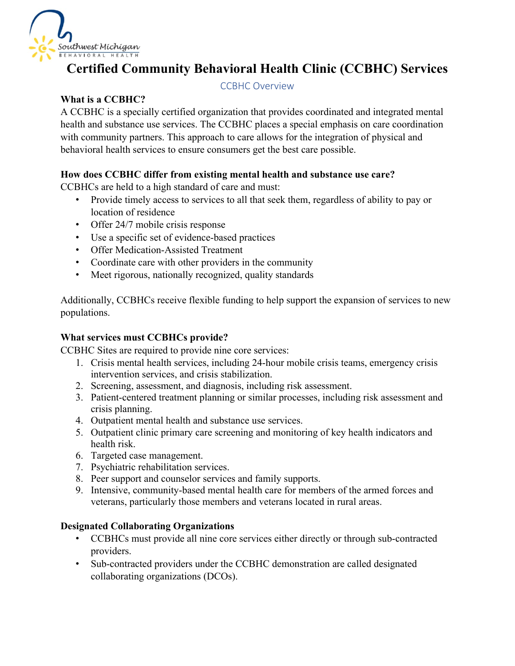

# **Certified Community Behavioral Health Clinic (CCBHC) Services**

## CCBHC Overview

# **What is a CCBHC?**

A CCBHC is a specially certified organization that provides coordinated and integrated mental health and substance use services. The CCBHC places a special emphasis on care coordination with community partners. This approach to care allows for the integration of physical and behavioral health services to ensure consumers get the best care possible.

# **How does CCBHC differ from existing mental health and substance use care?**

CCBHCs are held to a high standard of care and must:

- Provide timely access to services to all that seek them, regardless of ability to pay or location of residence
- Offer 24/7 mobile crisis response
- Use a specific set of evidence-based practices
- Offer Medication-Assisted Treatment
- Coordinate care with other providers in the community
- Meet rigorous, nationally recognized, quality standards

Additionally, CCBHCs receive flexible funding to help support the expansion of services to new populations.

# **What services must CCBHCs provide?**

CCBHC Sites are required to provide nine core services:

- 1. Crisis mental health services, including 24-hour mobile crisis teams, emergency crisis intervention services, and crisis stabilization.
- 2. Screening, assessment, and diagnosis, including risk assessment.
- 3. Patient-centered treatment planning or similar processes, including risk assessment and crisis planning.
- 4. Outpatient mental health and substance use services.
- 5. Outpatient clinic primary care screening and monitoring of key health indicators and health risk.
- 6. Targeted case management.
- 7. Psychiatric rehabilitation services.
- 8. Peer support and counselor services and family supports.
- 9. Intensive, community-based mental health care for members of the armed forces and veterans, particularly those members and veterans located in rural areas.

## **Designated Collaborating Organizations**

- CCBHCs must provide all nine core services either directly or through sub-contracted providers.
- Sub-contracted providers under the CCBHC demonstration are called designated collaborating organizations (DCOs).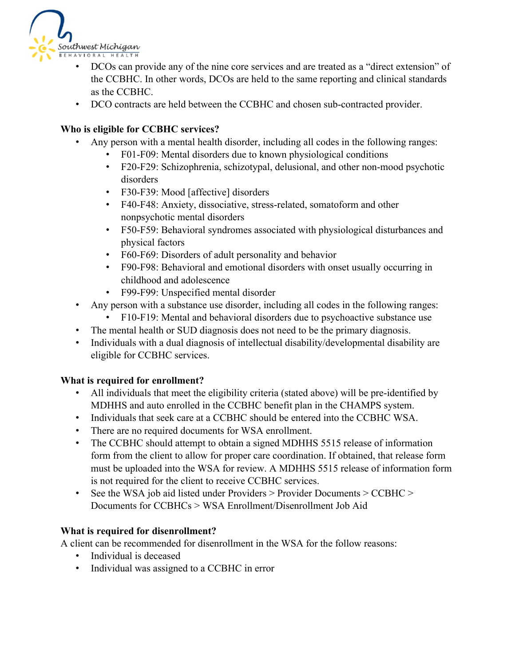

- DCOs can provide any of the nine core services and are treated as a "direct extension" of the CCBHC. In other words, DCOs are held to the same reporting and clinical standards as the CCBHC.
- DCO contracts are held between the CCBHC and chosen sub-contracted provider.

# **Who is eligible for CCBHC services?**

- Any person with a mental health disorder, including all codes in the following ranges:
	- [F01-F09:](https://www.icd10data.com/ICD10CM/Codes/F01-F99/F01-F09) Mental disorders due to known physiological conditions
	- [F20-F29:](https://www.icd10data.com/ICD10CM/Codes/F01-F99/F20-F29) Schizophrenia, schizotypal, delusional, and other non-mood psychotic disorders
	- [F30-F39:](https://www.icd10data.com/ICD10CM/Codes/F01-F99/F30-F39) Mood [affective] disorders
	- [F40-F48:](https://www.icd10data.com/ICD10CM/Codes/F01-F99/F40-F48) Anxiety, dissociative, stress-related, somatoform and other nonpsychotic mental disorders
	- [F50-F59:](https://www.icd10data.com/ICD10CM/Codes/F01-F99/F50-F59) Behavioral syndromes associated with physiological disturbances and physical factors
	- [F60-F69:](https://www.icd10data.com/ICD10CM/Codes/F01-F99/F60-F69) Disorders of adult personality and behavior
	- [F90-F98:](https://www.icd10data.com/ICD10CM/Codes/F01-F99/F90-F98) Behavioral and emotional disorders with onset usually occurring in childhood and adolescence
	- [F99-F99:](https://www.icd10data.com/ICD10CM/Codes/F01-F99/F99-F99) Unspecified mental disorder
- Any person with a substance use disorder, including all codes in the following ranges:
	- [F10-F19:](https://www.icd10data.com/ICD10CM/Codes/F01-F99/F10-F19) Mental and behavioral disorders due to psychoactive substance use
- The mental health or SUD diagnosis does not need to be the primary diagnosis.
- Individuals with a dual diagnosis of intellectual disability/developmental disability are eligible for CCBHC services.

## **What is required for enrollment?**

- All individuals that meet the eligibility criteria (stated above) will be pre-identified by MDHHS and auto enrolled in the CCBHC benefit plan in the CHAMPS system.
- Individuals that seek care at a CCBHC should be entered into the CCBHC WSA.
- There are no required documents for WSA enrollment.
- The CCBHC should attempt to obtain a signed MDHHS 5515 release of information form from the client to allow for proper care coordination. If obtained, that release form must be uploaded into the WSA for review. A MDHHS 5515 release of information form is not required for the client to receive CCBHC services.
- See the WSA job aid listed under Providers > Provider Documents > CCBHC > Documents for CCBHCs > WSA Enrollment/Disenrollment Job Aid

# **What is required for disenrollment?**

A client can be recommended for disenrollment in the WSA for the follow reasons:

- Individual is deceased
- Individual was assigned to a CCBHC in error